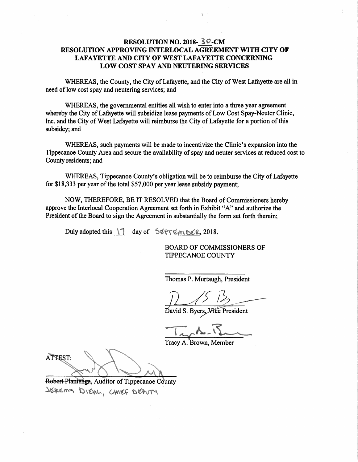# RESOLUTION NO. 2018- 30-CM RESOLUTION APPROVING INTERLOCAL AGREEMENT WITH CITY OF LAFAYETTE AND CITY OF WEST LAFAYETTE CONCERNING Low COST SPAY AND NEUTERING SERVICES

WHEREAS, the County, the City of Lafayette, and the City of West Lafayette are all in need of low cost spay and neutering services; and '

WHEREAS, the governmental entities all wish to enter into a three year agreement whereby the City of Lafayette will subsidize lease payments of Low Cost Spay-Neuter Clinic, Inc. and the City of West Lafayette will reimburse the City of Lafayette for a portion of this subsidey; and

WHEREAS, such payments will be made to incentivize the Clinic's expansion into the Tippecanoe County Area and secure the availability of spay and neuter services at reduced cost to County residents; and

WHEREAS, Tippecanoe County's obligation will be to reimburse the City of Lafayette for \$18,333 per year of the total \$57,000 per year lease subsidy payment;

NOW, THEREFORE, BE IT RESOLVED that the Board of Commissioners hereby approve the Interlocal Cooperation Agreement set forth in Exhibit "A" and authorize the President of the Board to sign the Agreement in substantially the form set forth therein;

Duly adopted this  $1^\circ$  day of SEPTEMBER, 2018.

BOARD OF COMMISSIONERS OF TIPPECANOE COUNTY

Thomas P. Murtaugh, President

David S. Byers, Vice President

Tracy A. Brown, Member

ATTEST: E! A, 1'; vi .4 t;  $\langle \cdot \rangle$  is a set of  $\langle \cdot \rangle$  is a set of  $\langle \cdot \rangle$ 

ntenga, Auditor of Tipp JEREMY DIEAL, CHIEF DEAUTY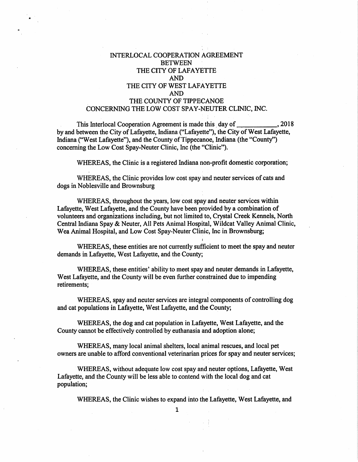### INTERLOCAL COOPERATION AGREEMENT BETWEEN THE CITY OF LAFAYETTE AND .THE CITY OF WEST LAFAYETTE AND THE COUNTY OF TIPPECANOE CONCERNING THE LOW COST SPAY-NEUTER CLINIC, INC.

This Interlocal Cooperation Agreement is made this day of \_\_\_\_\_\_\_\_\_\_\_\_\_, 2018 by and between the City of Lafayette, Indiana ("Lafayette"), the City of West Lafayette, Indiana ("West Lafayette"), and the County of Tippecanoe, Indiana (the "County") concerning the Low Cost Spay-Neuter Clinic, Inc (the "Clinic").

WHEREAS, the Clinic is <sup>a</sup> registered Indiana non-profit domestic corporation;

WHEREAS, the Clinic provides low cost spay and neuter services of cats and dogs in Noblesville and Brownsburg

WHEREAS, throughout the years, low cost spay and neuter services within Lafayette, West Lafayette, and the County have been provided by <sup>a</sup> combination of volunteers and organizations including, but not limited to, Crystal Creek Kennels, North Central Indiana Spay & Neuter, All Pets Animal Hospital, Wildcat Valley Animal Clinic, Wea Animal Hospital, and Low Cost Spay-Neuter Clinic, Inc in Brownsburg;

WHEREAS, these entities are not currently sufficient to meet the spay and neuter demands in Lafayette, West Lafayette, and the County;

WHEREAS, these entities' ability to meet spay and neuter demands in Lafayette, West Lafayette, and the County will be even further constrained due to impending retirements;

WHEREAS, spay and neuter services are integral components of controlling dog and cat populations in Lafayette, West Lafayette, and the County;

WHEREAS, the dog and cat population in Lafayette, West Lafayette, and the County cannot be effectively controlled by euthanasia and adoption alone;

WHEREAS, many local animal shelters, local animal rescues, and local pet owners are unable to afford conventional veterinarian prices for spay and neuter services;

'WHEREAS, without adequate low cost spay and neuter options, Lafayette, West Lafayette, and the County will be less able to contend With the local dog and cat population;

WHEREAS, the Clinic wishes to expand into the Lafayette, West Lafayette, and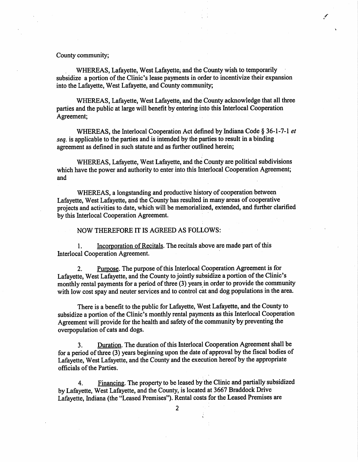#### County community;

WHEREAS, Lafayette, West Lafayette; and the County wish to temporarily subsidize <sup>a</sup> portion of the Clinic's lease payments in order to incentivize their expansion into the Lafayette, West Lafayette, and County community;

WHEREAS, Lafayette, West Lafayette, and the County acknowledge that all three parties and the public at large will benefit by entering into this Interlocal Cooperation Agreement;

WHEREAS, the Interlocal Cooperation Act defined by Indiana Code § 36-1-7-1 et seq. is applicable to the parties and is intended by the parties to result in a binding agreement as defined in such statute and as further outlined herein;

WHEREAS, Lafayette, West Lafayette, and the County are political subdivisions which have the power and authority to enter into this Interlocal Cooperation Agreement; and <sup>~</sup> '

WHEREAS, <sup>a</sup> longstanding and productive history of cooperation between Lafayette, West Lafayette, and the County has resulted in many areas of cooperative projects and activities to date, which will be memorialized, extended, and further clarified by this Interlocal Cooperation Agreement.

### NOW THEREFORE IT IS AGREED AS FOLLOWS:

1. Incorporation of Recitals. The recitals above are made part of this Interlocal Cooperation Agreement.

2. Purpose. The purpose of this Interlocal Cooperation Agreement is for Lafayette, West Lafayette, and the County to jointly subsidize <sup>a</sup> portion of the Clinic's monthly rental payments for a period of three (3) years in order to provide the community with low cost spay and neuter services and to control cat and dog populations in the area.

There is a benefit to the public for Lafayette, West Lafayette, and the County to subsidize <sup>a</sup> portion of the Clinic's monthly rental payments as this Interlocal Cooperation Agreement will provide for the health and safety of the community by preventing the overpopulation of cats and dogs.

3. Duration. The duration of this Interlocal Cooperation Agreement shall be for <sup>a</sup> period of three (3) years beginning upon the date of approva<sup>l</sup> by the fiscal bodies of Lafayette, West Lafayette, and the County and the execution hereof by the appropriate officials of the Parties. .

4. Financing. The property to be leased by the Clinic and partially subsidized by Lafayette, West Lafayette, and the County, is located at <sup>3667</sup> Braddock Drive Lafayette, Indiana (the "Leased Premises"). Rental costs for the Leased Premises are

2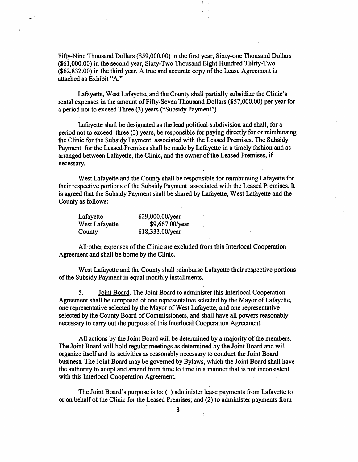Fifty-Nine Thousand Dollars (\$59,000.00) in the first year, Sixty-one Thousand Dollars (\$61,000.00) in the second year, Sixty-Two Thousand Eight Hundred Thirty—Two  $($ \$62,832.00) in the third year. A true and accurate copy of the Lease Agreement is attached as Exhibit "A."

Lafayette, West Lafayette, and the County shali partially subsidize the Clinic's rental expenses in the amount of Fifty-Seven Thousand Dollars (\$57,000.00) per year for <sup>a</sup> period not to exceed Three (3) years ("Subsidy Payment").

Lafayette shall be designated as the lead political subdivision and shall, for a period not to exceed three (3) years, be responsible for paying directly for or reimbursing the Clinic for the Subsidy Payment associated with the Leased Premises. The Subsidy Payment for the Leased Premises shall be made by Lafayette in a timely fashion and as arranged between Lafayette, the Clinic, and the owner of the Leased Premises, if necessary.

West Lafayette and the County shall be responsible for reimbursing Lafayette for their respective portions of the Subsidy Payment associated with the Leased Premises. It is agreed that the Subsidy Payment shall be shared by Lafayette, West Lafayette and the County as follows:

| Lafayette      | \$29,000.00/year |  |
|----------------|------------------|--|
| West Lafayette | \$9,667.00/year  |  |
| County         | \$18,333.00/year |  |

All'other expenses of the Clinic are excluded from this Interlocal Cooperation Agreement and shall be borne by the Clinic. ,

West Lafayette and the County shall reimburse Lafayette their respective portions of the Subsidy Payment in equal monthly installments.

5. Joint Board. The Joint Board to administer this Interlocal Cooperation Agreement shall be composed of one representative selected by the Mayor of Lafayette, one representative selected by the Mayor of West Lafayette, and one representative selected by the County Board of Commissioners, and shall have all powers reasonably necessary to carry out the purpose of this Interlocal Cooperation Agreement. '

All actions by the Joint Board will be determined by <sup>a</sup> majority of the members. The Joint Board will hold regular meetings as determined by the Joint Board and will organize itself and its activities as reasonably necessary to conduct the Joint Board business. The Joint Board may be governed by Bylaws, which the Joint Board shall have the authority to adopt and amend from time to time in a manner that is not inconsistent with this Interlocal Cooperation Agreement.

The Joint Board's purpose is to: (1) administer lease payments from Lafayette to or on behalf of the Clinic for the Leased Premises; and (2) to administer payments from

3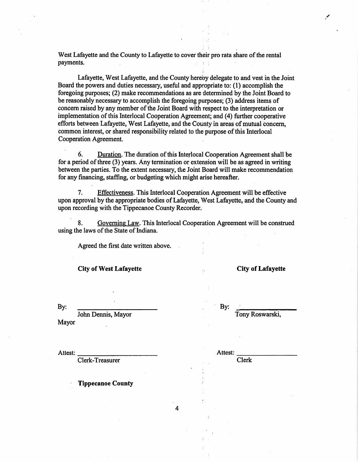West Lafayette and the County to Lafayette to cover their pro rata share of the rental payments.

Lafayette, West Lafayette, and the County hereby delegate to and vest in the Joint Board the powers and duties necessary, useful and appropriate to: (1) accomplish the foregoing purposes; (2) make recommendations as are determined by the Joint Board to be reasonably necessary to accomplish the foregoing purposes; (3) address items of concern raised by any member of the Joint Board with respect to the interpretation or implementation of this Interlocal C00peration Agreement; and (4) further cooperative efforts between Lafayette, West Lafayette, and the County in areas of mutual Concern, common interest, or shared responsibility related to the purpose of this Interlocal Cooperation Agreement.

6. Duration. The duration of this Interlocal Cooperation Agreement shall be for a period of three (3) years. Any termination or extension will be as agreed in writing between the parties. To the extent necessary, the Joint Board will make recommendation for any financing, staffing, or budgeting which might arise hereafter.

7. Effectiveness. This Interlocal Cooperation Agreement will be effective upon approval by the appropriate bodies of Lafayette, West Lafayette, and the County and upon recording with the Tippecanoe County Recorder.

8. Governing Law. This Interlocal Cooperation Agreement will be construed using the laws of the State of Indiana.

Agreed the first date written above.

City of West Lafayette ... City of Lafayette

By: I <sup>r</sup> d ' By: ' John Dennis, Mayor , Tony Roswarski, Mayor

Clerk-Treasurer . A Clerk

Attest: Attest:

**Tippecanoe County** 

4